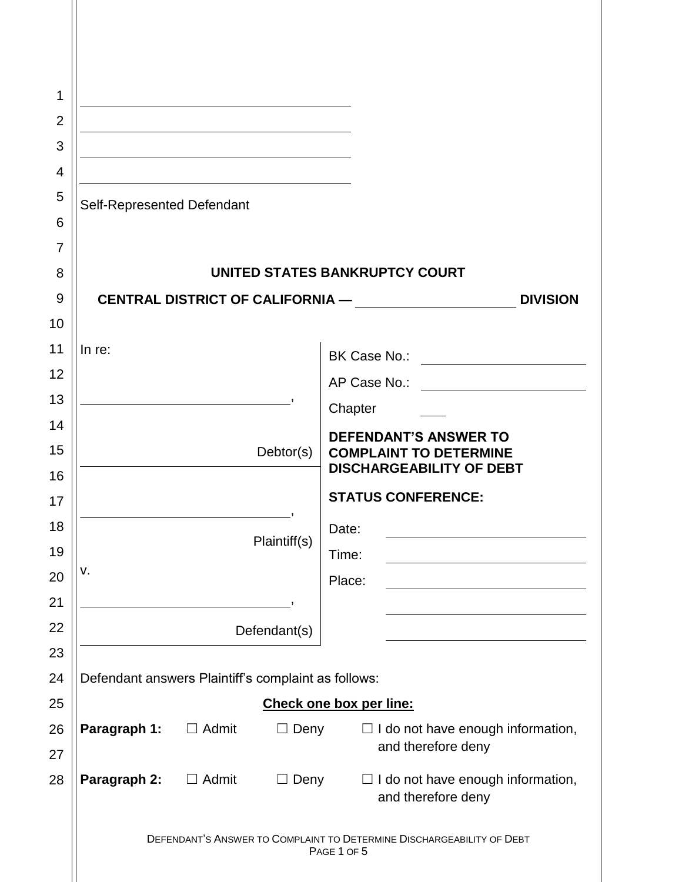|                              | UNITED STATES BANKRUPTCY COURT                                                                                                                                                   |
|------------------------------|----------------------------------------------------------------------------------------------------------------------------------------------------------------------------------|
|                              | <b>DIVISION</b>                                                                                                                                                                  |
|                              |                                                                                                                                                                                  |
| In re:                       |                                                                                                                                                                                  |
|                              |                                                                                                                                                                                  |
|                              | Chapter                                                                                                                                                                          |
|                              | <b>DEFENDANT'S ANSWER TO</b>                                                                                                                                                     |
|                              | <b>COMPLAINT TO DETERMINE</b><br><b>DISCHARGEABILITY OF DEBT</b>                                                                                                                 |
|                              | <b>STATUS CONFERENCE:</b>                                                                                                                                                        |
|                              |                                                                                                                                                                                  |
| Plaintiff(s)                 | Date:<br>Time:                                                                                                                                                                   |
| ٧.                           | Place:                                                                                                                                                                           |
|                              |                                                                                                                                                                                  |
|                              |                                                                                                                                                                                  |
|                              |                                                                                                                                                                                  |
|                              |                                                                                                                                                                                  |
|                              | Check one box per line:                                                                                                                                                          |
| Paragraph 1:<br>$\Box$ Admit | $\Box$ I do not have enough information,                                                                                                                                         |
|                              | and therefore deny                                                                                                                                                               |
| Paragraph 2:<br>$\Box$ Admit | I do not have enough information,<br>$\Box$<br>and therefore deny                                                                                                                |
|                              | DEFENDANT'S ANSWER TO COMPLAINT TO DETERMINE DISCHARGEABILITY OF DEBT<br>PAGE 1 OF 5                                                                                             |
|                              | Self-Represented Defendant<br>CENTRAL DISTRICT OF CALIFORNIA —<br>Debtor(s)<br>Defendant(s)<br>Defendant answers Plaintiff's complaint as follows:<br>$\Box$ Deny<br>$\Box$ Deny |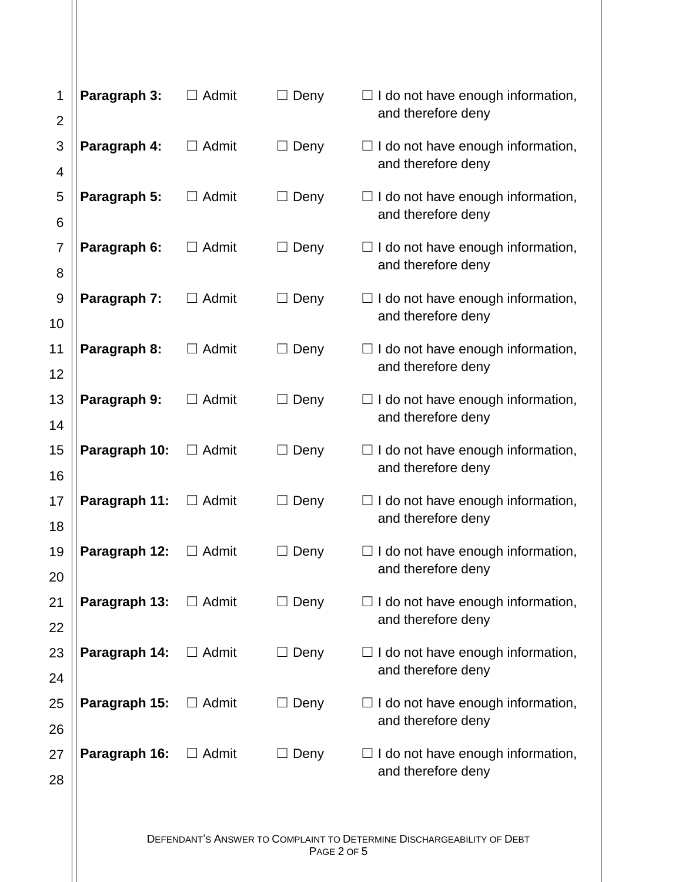| 1<br>$\overline{2}$ | Paragraph 3:  | $\Box$ Admit | Deny        | I do not have enough information,<br>and therefore deny        |
|---------------------|---------------|--------------|-------------|----------------------------------------------------------------|
| 3                   | Paragraph 4:  | $\Box$ Admit | Deny        | I do not have enough information,                              |
| 4                   |               |              |             | and therefore deny                                             |
| 5                   | Paragraph 5:  | $\Box$ Admit | Deny        | I do not have enough information,                              |
| 6                   |               |              |             | and therefore deny                                             |
| $\overline{7}$      | Paragraph 6:  | $\Box$ Admit | $\Box$ Deny | I do not have enough information,                              |
| 8                   |               |              |             | and therefore deny                                             |
| 9<br>10             | Paragraph 7:  | $\Box$ Admit | $\Box$ Deny | $\Box$ I do not have enough information,<br>and therefore deny |
| 11                  | Paragraph 8:  | $\Box$ Admit | Deny        | $\Box$ I do not have enough information,                       |
| 12                  |               |              |             | and therefore deny                                             |
| 13                  | Paragraph 9:  | $\Box$ Admit | Deny        | I do not have enough information,<br>and therefore deny        |
| 14                  |               |              |             |                                                                |
| 15<br>16            | Paragraph 10: | $\Box$ Admit | $\Box$ Deny | $\Box$ I do not have enough information,<br>and therefore deny |
| 17                  | Paragraph 11: | Admit        | Deny        | I do not have enough information,                              |
| 18                  |               |              |             | and therefore deny                                             |
| 19                  | Paragraph 12: | $\Box$ Admit | Deny        | I do not have enough information,                              |
| 20                  |               |              |             | and therefore deny                                             |
| 21                  | Paragraph 13: | $\Box$ Admit | $\Box$ Deny | I do not have enough information,                              |
| 22                  |               |              |             | and therefore deny                                             |
| 23                  | Paragraph 14: | $\Box$ Admit | Deny        | I do not have enough information,                              |
| 24                  |               |              |             | and therefore deny                                             |
| 25                  | Paragraph 15: | $\Box$ Admit | Deny        | $\Box$ I do not have enough information,                       |
| 26                  |               |              |             | and therefore deny                                             |
| 27                  | Paragraph 16: | $\Box$ Admit | $\Box$ Deny | $\Box$ I do not have enough information,<br>and therefore deny |
| 28                  |               |              |             |                                                                |
|                     |               |              |             |                                                                |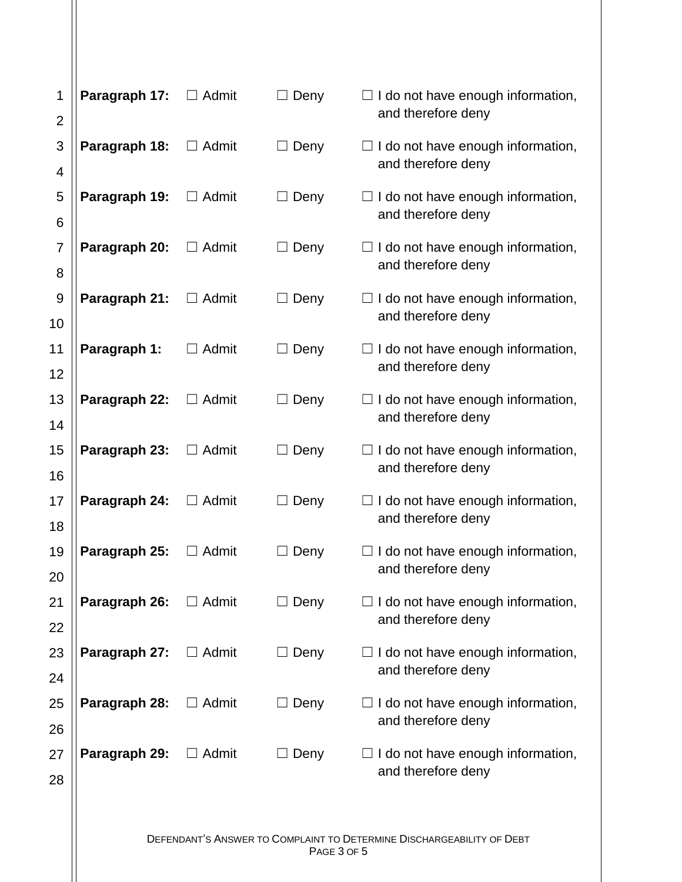| 1<br>$\overline{c}$ | Paragraph 17: | $\Box$ Admit | $\Box$ Deny | I do not have enough information,<br>and therefore deny |
|---------------------|---------------|--------------|-------------|---------------------------------------------------------|
| 3                   | Paragraph 18: | $\Box$ Admit | $\Box$ Deny | I do not have enough information,                       |
| 4                   |               |              |             | and therefore deny                                      |
| 5                   | Paragraph 19: | $\Box$ Admit | Deny<br>Ш   | I do not have enough information,                       |
| 6                   |               |              |             | and therefore deny                                      |
| $\overline{7}$      | Paragraph 20: | $\Box$ Admit | $\Box$ Deny | $\Box$ I do not have enough information,                |
| 8                   |               |              |             | and therefore deny                                      |
| 9                   | Paragraph 21: | Admit        | Deny        | I do not have enough information,                       |
| 10                  |               |              |             | and therefore deny                                      |
| 11                  | Paragraph 1:  | $\Box$ Admit | Deny        | I do not have enough information,<br>and therefore deny |
| 12                  |               |              |             |                                                         |
| 13                  | Paragraph 22: | $\Box$ Admit | Deny        | I do not have enough information,<br>and therefore deny |
| 14                  |               |              |             |                                                         |
| 15                  | Paragraph 23: | $\Box$ Admit | $\Box$ Deny | I do not have enough information,<br>and therefore deny |
| 16                  |               |              |             |                                                         |
| 17                  | Paragraph 24: | Admit        | $\Box$ Deny | I do not have enough information,<br>and therefore deny |
| 18                  |               |              |             |                                                         |
| 19<br>20            | Paragraph 25: | Admit        | Deny        | I do not have enough information,<br>and therefore deny |
| 21                  | Paragraph 26: | $\Box$ Admit | $\Box$ Deny | $\Box$ I do not have enough information,                |
| 22                  |               |              |             | and therefore deny                                      |
| 23                  | Paragraph 27: | $\Box$ Admit | Deny        | I do not have enough information,                       |
| 24                  |               |              |             | and therefore deny                                      |
| 25                  | Paragraph 28: | $\Box$ Admit | $\Box$ Deny | I do not have enough information,                       |
| 26                  |               |              |             | and therefore deny                                      |
| 27                  | Paragraph 29: | $\Box$ Admit | $\Box$ Deny | I do not have enough information,                       |
| 28                  |               |              |             | and therefore deny                                      |
|                     |               |              |             |                                                         |
|                     |               |              |             |                                                         |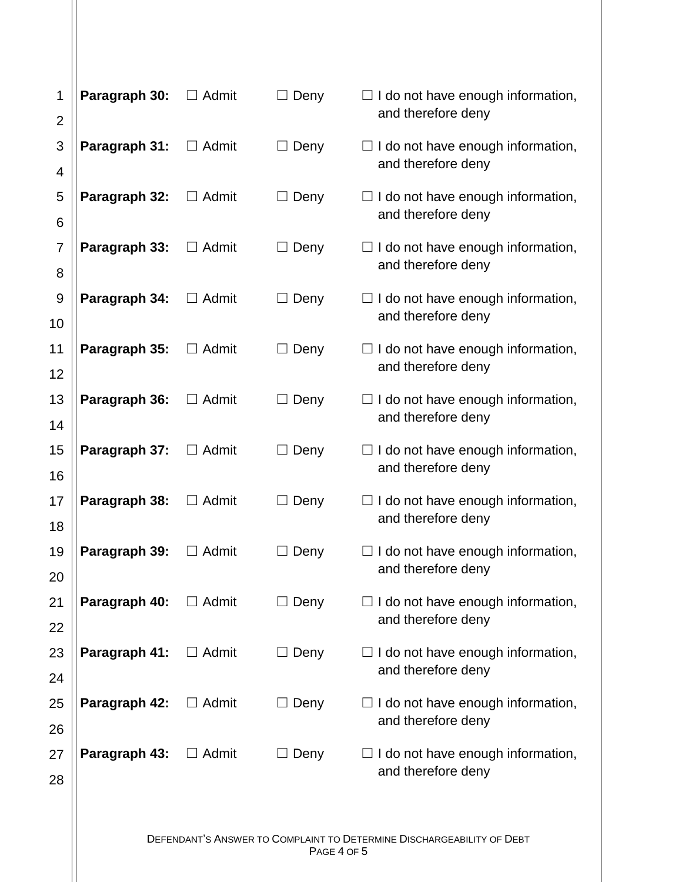| 1<br>$\overline{c}$ | Paragraph 30: | $\Box$ Admit | $\Box$ Deny | I do not have enough information,<br>and therefore deny        |
|---------------------|---------------|--------------|-------------|----------------------------------------------------------------|
| 3                   | Paragraph 31: | $\Box$ Admit | $\Box$ Deny | I do not have enough information,                              |
| 4                   |               |              |             | and therefore deny                                             |
| 5                   | Paragraph 32: | $\Box$ Admit | Deny<br>Ш   | I do not have enough information,                              |
| 6                   |               |              |             | and therefore deny                                             |
| $\overline{7}$      | Paragraph 33: | $\Box$ Admit | $\Box$ Deny | $\Box$ I do not have enough information,                       |
| 8                   |               |              |             | and therefore deny                                             |
| 9<br>10             | Paragraph 34: | Admit        | Deny        | I do not have enough information,<br>and therefore deny        |
| 11                  | Paragraph 35: | $\Box$ Admit | Deny        | I do not have enough information,                              |
| 12                  |               |              |             | and therefore deny                                             |
| 13                  | Paragraph 36: | $\Box$ Admit | Deny        | I do not have enough information,                              |
| 14                  |               |              |             | and therefore deny                                             |
| 15                  | Paragraph 37: | $\Box$ Admit | $\Box$ Deny | I do not have enough information,                              |
| 16                  |               |              |             | and therefore deny                                             |
| 17                  | Paragraph 38: | Admit        | $\Box$ Deny | I do not have enough information,                              |
| 18                  |               |              |             | and therefore deny                                             |
| 19                  | Paragraph 39: | Admit        | Deny        | I do not have enough information,<br>and therefore deny        |
| 20                  |               |              |             |                                                                |
| 21                  | Paragraph 40: | $\Box$ Admit | $\Box$ Deny | $\Box$ I do not have enough information,<br>and therefore deny |
| 22                  | Paragraph 41: | $\Box$ Admit | Deny        | I do not have enough information,                              |
| 23<br>24            |               |              |             | and therefore deny                                             |
| 25                  | Paragraph 42: | $\Box$ Admit | $\Box$ Deny | I do not have enough information,                              |
| 26                  |               |              |             | and therefore deny                                             |
| 27                  | Paragraph 43: | $\Box$ Admit | $\Box$ Deny | I do not have enough information,                              |
| 28                  |               |              |             | and therefore deny                                             |
|                     |               |              |             |                                                                |
|                     |               |              |             |                                                                |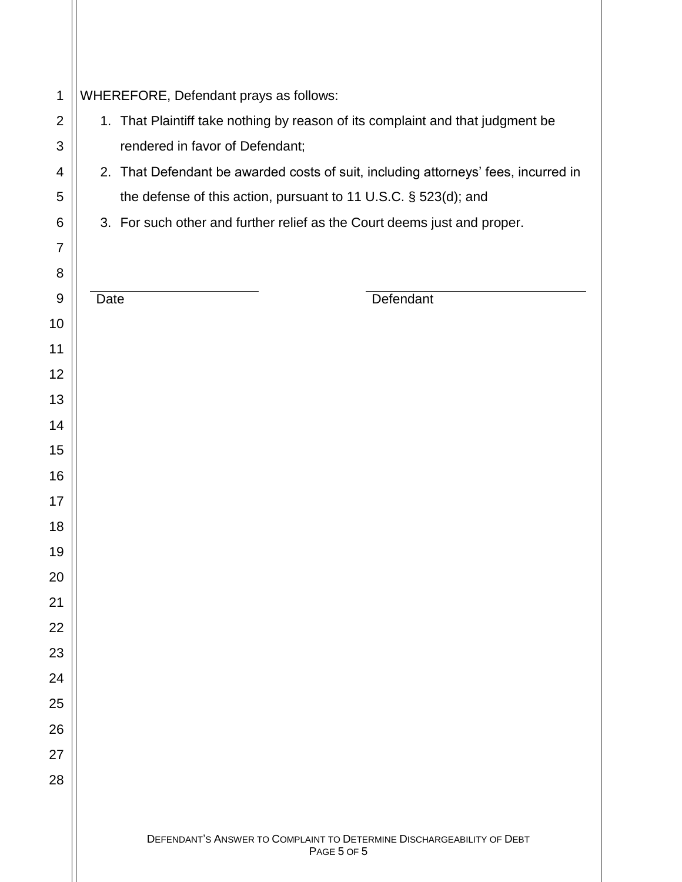| $\mathbf 1$    | WHEREFORE, Defendant prays as follows:                                             |  |  |
|----------------|------------------------------------------------------------------------------------|--|--|
| $\overline{2}$ | 1. That Plaintiff take nothing by reason of its complaint and that judgment be     |  |  |
| 3              | rendered in favor of Defendant;                                                    |  |  |
| 4              | 2. That Defendant be awarded costs of suit, including attorneys' fees, incurred in |  |  |
| 5              | the defense of this action, pursuant to 11 U.S.C. § 523(d); and                    |  |  |
| 6              | 3. For such other and further relief as the Court deems just and proper.           |  |  |
| 7              |                                                                                    |  |  |
| 8              |                                                                                    |  |  |
| 9              | Defendant<br>Date                                                                  |  |  |
| 10             |                                                                                    |  |  |
| 11             |                                                                                    |  |  |
| 12             |                                                                                    |  |  |
| 13             |                                                                                    |  |  |
| 14             |                                                                                    |  |  |
| 15             |                                                                                    |  |  |
| 16             |                                                                                    |  |  |
| 17             |                                                                                    |  |  |
| 18             |                                                                                    |  |  |
| 19             |                                                                                    |  |  |
| 20             |                                                                                    |  |  |
| 21             |                                                                                    |  |  |
| 22             |                                                                                    |  |  |
| 23             |                                                                                    |  |  |
| 24             |                                                                                    |  |  |
| 25             |                                                                                    |  |  |
| 26             |                                                                                    |  |  |
| 27             |                                                                                    |  |  |
| 28             |                                                                                    |  |  |
|                |                                                                                    |  |  |
|                | DEFENDANT'S ANSWER TO COMPLAINT TO DETERMINE DISCHARGEABILITY OF DEBT              |  |  |